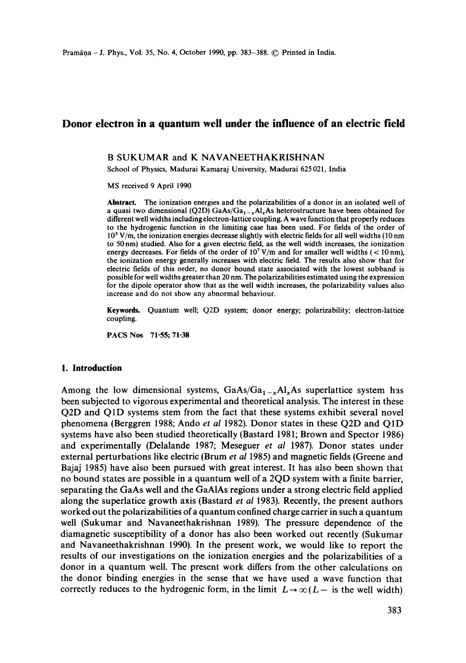# **Donor electron in a quantum well under the influence of an electric field**

#### B SUKUMAR and K NAVANEETHAKRISHNAN

School of Physics, Madurai Kamaraj University, Madurai 625 021, India

MS received 9 April 1990

**Abstract.** The ionization energies and the polarizabilities of a donor in an isolated well of a quasi two dimensional (Q2D) GaAs/Ga<sub>1-x</sub>Al<sub>x</sub>As heterostructure have been obtained for different well widths including electron-lattice coupling. A wave function that properly reduces to the hydrogenic function in the limiting case has been used. For fields of the order of 105 V/m, the ionization energies decrease slightly with electric fields for all well widths (10 nm to 50 nm) studied. Also for a given electric field, as the well width increases, the ionization energy decreases. For fields of the order of  $10<sup>7</sup> V/m$  and for smaller well widths (< 10 nm), the ionization energy generally increases with electric field. The results also show that for electric fields of this order, no donor bound state associated with the lowest subband is possible for well widths greater than 20 nm. The polarizabilities estimated using the expression for the dipole operator show that as the well width increases, the polarizability values also increase and do not show any abnormal behaviour.

Keywords. Quantum well; Q2D system; donor energy; polarizability; electron-lattice coupling.

PACS Nos 71-55; 71.38

#### **1. Introduction**

Among the low dimensional systems,  $GaAs/Ga<sub>1-x</sub>Al<sub>x</sub>As superlattice system has$ been subjected to vigorous experimental and theoretical analysis. The interest in these Q2D and Q1D systems stem from the fact that these systems exhibit several novel phenomena (Berggren 1988; Ando *et al* 1982). Donor states in these Q2D and Q1D systems have also been studied theoretically (Bastard 1981; Brown and Spector 1986) and experimentally (Delalande 1987; Meseguer *et al* 1987). Donor states under external perturbations like electric (Brum *et al* 1985) and magnetic fields (Greene and Bajaj 1985) have also been pursued with great interest. It has also been shown that no bound states are possible in a quantum well of a 2QD system with a finite barrier, separating the GaAs well and the GaAIAs regions under a strong electric field applied along the superlatice growth axis (Bastard *et al* 1983). Recently, the present authors worked out the polarizabilities of a quantum confined charge carrier in such a quantum well (Sukumar and Navaneethakrishnan 1989). The pressure dependence of the diamagnetic susceptibility of a donor has also been worked out recently (Sukumar and Navaneethakrishnan 1990). In the present work, we would like to report the results of our investigations on the ionization energies and the polarizabilities of a donor in a quantum well. The present work differs from the other calculations on the donor binding energies in the sense that we have used a wave function that correctly reduces to the hydrogenic form, in the limit  $L \rightarrow \infty (L - \text{ is the well width})$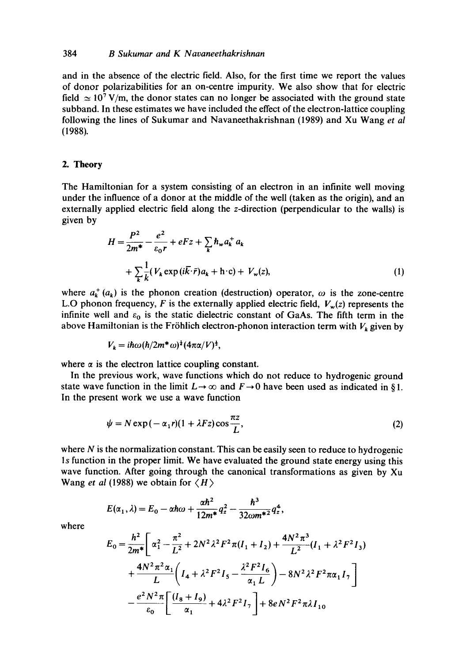#### 384 *B Sukumar and K Navaneethakrishnan*

and in the absence of the electric field. Also, for the first time we report the values of donor polarizabilities for an on-centre impurity. We also show that for electric field  $\simeq 10^7$  V/m, the donor states can no longer be associated with the ground state subband. In these estimates we have included the effect of the electron-lattice coupling following the lines of Sukumar and Navaneethakrishnan (1989) and Xu Wang *et al*  (1988).

## 2. **Theory**

The Hamiltonian for a system consisting of an electron in an infinite well moving under the influence of a donor at the middle of the well (taken as the origin), and an externally applied electric field along the z-direction (perpendicular to the walls) is given by

$$
H = \frac{P^2}{2m^*} - \frac{e^2}{\varepsilon_0 r} + eFz + \sum_k \hbar_w a_k^+ a_k
$$
  
+ 
$$
\sum_k \frac{1}{k} (V_k \exp(i\bar{k}\cdot\bar{r})a_k + \mathbf{h}\cdot\mathbf{c}) + V_w(z),
$$
 (1)

where  $a_k^+(a_k)$  is the phonon creation (destruction) operator,  $\omega$  is the zone-centre L.O phonon frequency, F is the externally applied electric field,  $V_w(z)$  represents the infinite well and  $\varepsilon_0$  is the static dielectric constant of GaAs. The fifth term in the above Hamiltonian is the Fröhlich electron-phonon interaction term with  $V_k$  given by

$$
V_k = i\hbar\omega(\hbar/2m^*\omega)^{\frac{1}{2}}(4\pi\alpha/V)^{\frac{1}{2}},
$$

where  $\alpha$  is the electron lattice coupling constant.

In the previous work, wave functions which do not reduce to hydrogenic ground state wave function in the limit  $L \rightarrow \infty$  and  $F \rightarrow 0$  have been used as indicated in §1. In the present work we use a wave function

$$
\psi = N \exp(-\alpha_1 r)(1 + \lambda Fz) \cos \frac{\pi z}{L}, \tag{2}
$$

where  $N$  is the normalization constant. This can be easily seen to reduce to hydrogenic ls function in the proper limit. We have evaluated the ground state energy using this wave function. After going through the canonical transformations as given by Xu Wang *et al* (1988) we obtain for  $\langle H \rangle$ 

$$
E(\alpha_1, \lambda) = E_0 - \alpha \hbar \omega + \frac{\alpha \hbar^2}{12m^*} q_z^2 - \frac{\hbar^3}{32\omega m^{*2}} q_z^4,
$$

where

$$
E_0 = \frac{h^2}{2m^*} \left[ \alpha_1^2 - \frac{\pi^2}{L^2} + 2N^2 \lambda^2 F^2 \pi (I_1 + I_2) + \frac{4N^2 \pi^3}{L^2} (I_1 + \lambda^2 F^2 I_3) + \frac{4N^2 \pi^2 \alpha_1}{L} \left( I_4 + \lambda^2 F^2 I_5 - \frac{\lambda^2 F^2 I_6}{\alpha_1 L} \right) - 8N^2 \lambda^2 F^2 \pi \alpha_1 I_7 \right]
$$

$$
- \frac{e^2 N^2 \pi}{\epsilon_0} \left[ \frac{(I_8 + I_9)}{\alpha_1} + 4\lambda^2 F^2 I_7 \right] + 8e N^2 F^2 \pi \lambda I_{10}
$$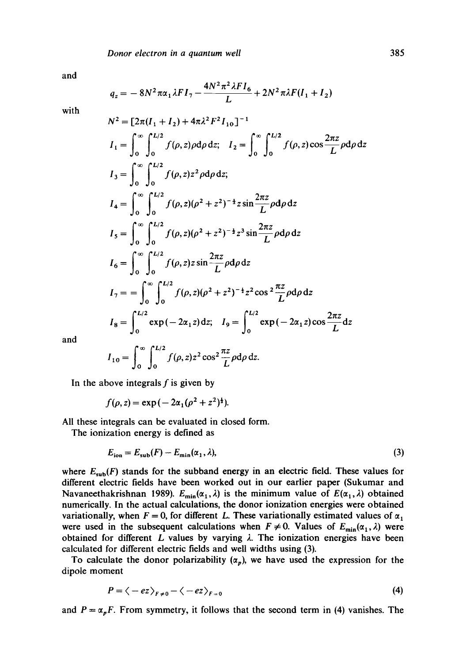and

$$
q_z = -8N^2 \pi \alpha_1 \lambda F I_7 - \frac{4N^2 \pi^2 \lambda F I_6}{L} + 2N^2 \pi \lambda F (I_1 + I_2)
$$

with

$$
N^{2} = [2\pi(I_{1} + I_{2}) + 4\pi\lambda^{2} F^{2} I_{10}]^{-1}
$$
\n
$$
I_{1} = \int_{0}^{\infty} \int_{0}^{L/2} f(\rho, z) \rho d\rho dz; \quad I_{2} = \int_{0}^{\infty} \int_{0}^{L/2} f(\rho, z) \cos \frac{2\pi z}{L} \rho d\rho dz
$$
\n
$$
I_{3} = \int_{0}^{\infty} \int_{0}^{L/2} f(\rho, z) z^{2} \rho d\rho dz;
$$
\n
$$
I_{4} = \int_{0}^{\infty} \int_{0}^{L/2} f(\rho, z) (\rho^{2} + z^{2})^{-\frac{1}{2}} z \sin \frac{2\pi z}{L} \rho d\rho dz
$$
\n
$$
I_{5} = \int_{0}^{\infty} \int_{0}^{L/2} f(\rho, z) (\rho^{2} + z^{2})^{-\frac{1}{2}} z^{3} \sin \frac{2\pi z}{L} \rho d\rho dz
$$
\n
$$
I_{6} = \int_{0}^{\infty} \int_{0}^{L/2} f(\rho, z) z \sin \frac{2\pi z}{L} \rho d\rho dz
$$
\n
$$
I_{7} = = \int_{0}^{\infty} \int_{0}^{L/2} f(\rho, z) (\rho^{2} + z^{2})^{-\frac{1}{2}} z^{2} \cos^{2} \frac{\pi z}{L} \rho d\rho dz
$$
\n
$$
I_{8} = \int_{0}^{L/2} \exp(-2\alpha_{1} z) dz; \quad I_{9} = \int_{0}^{L/2} \exp(-2\alpha_{1} z) \cos \frac{2\pi z}{L} dz
$$

and

$$
I_{10} = \int_0^\infty \int_0^{L/2} f(\rho, z) z^2 \cos^2 \frac{\pi z}{L} \rho d\rho dz.
$$

In the above integrals  $f$  is given by

$$
f(\rho, z) = \exp(-2\alpha_1(\rho^2 + z^2)^{\frac{1}{2}}).
$$

All these integrals can be evaluated in closed form.

The ionization energy is defined as

$$
E_{\rm ion} = E_{\rm sub}(F) - E_{\rm min}(\alpha_1, \lambda),\tag{3}
$$

where  $E_{sub}(F)$  stands for the subband energy in an electric field. These values for different electric fields have been worked out in our earlier paper (Sukumar and Navaneethakrishnan 1989).  $E_{min}(\alpha_1,\lambda)$  is the minimum value of  $E(\alpha_1,\lambda)$  obtained numerically. In the actual calculations, the donor ionization energies were obtained variationally, when  $F = 0$ , for different L. These variationally estimated values of  $\alpha_1$ were used in the subsequent calculations when  $F \neq 0$ . Values of  $E_{\min}(\alpha_1,\lambda)$  were obtained for different L values by varying  $\lambda$ . The ionization energies have been calculated for different electric fields and well widths using (3).

To calculate the donor polarizability  $(\alpha_p)$ , we have used the expression for the dipole moment

$$
P = \langle -ez \rangle_{F \neq 0} - \langle -ez \rangle_{F=0} \tag{4}
$$

and  $P = \alpha_p F$ . From symmetry, it follows that the second term in (4) vanishes. The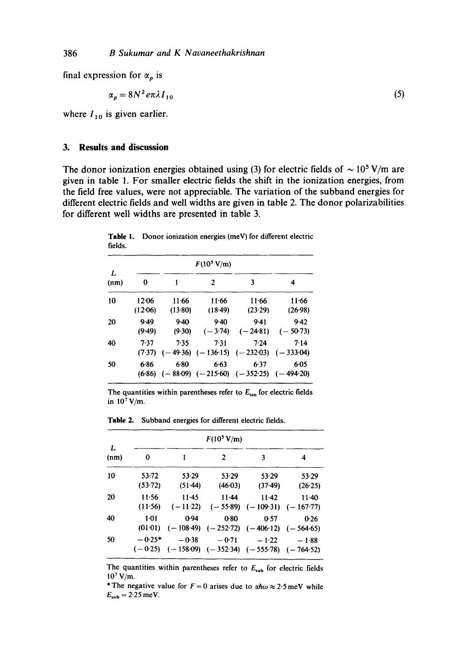final expression for  $\alpha_p$  is

$$
\alpha_p = 8N^2 e \pi \lambda I_{10} \tag{5}
$$

where  $I_{10}$  is given earlier.

## **3. Results and discussion**

The donor ionization energies obtained using (3) for electric fields of  $\sim 10^5$  V/m are given in table 1. For smaller electric fields the shift in the ionization energies, from the field free values, were not appreciable. The variation of the subband energies for different electric fields and well widths are given in table 2. The donor polarizabilities for different well widths are presented in table 3.

Table 1. Donor ionization energies (meV) for different electric fields.

| L<br>(nm) | 0                    | 1                  | 2                   | 3                                                      | 4                    |
|-----------|----------------------|--------------------|---------------------|--------------------------------------------------------|----------------------|
| 10        | $12 - 06$<br>(12.06) | $11-66$<br>(13.80) | 11.66<br>$(18-49)$  | 11.66<br>(23.29)                                       | 11.66<br>(26.98)     |
| 20        | 9.49<br>(9.49)       | $9-40$<br>(9.30)   | $9-40$<br>$(-3.74)$ | 9.41<br>$(-24.81)$                                     | $9-42$<br>$(-50.73)$ |
| 40        | 7.37<br>(7.37)       | 7.35               | $7-31$              | 7.24<br>$(-49.36)$ $(-136.15)$ $(-232.03)$ $(-333.04)$ | 7.14                 |
| 50        | 686<br>(6.86)        | 6.80               | 6.63                | 6.37<br>$(-88.09)$ $(-215.60)$ $(-352.25)$ $(-494.20)$ | $6 - 05$             |

The quantities within parentheses refer to  $E_{\text{ion}}$  for electric fields in  $10^7$  V/m.

Table 2. Subband energies for different electric fields.

|           | $F(10^5 \text{ V/m})$ |                       |                     |                                                                      |                                    |  |  |
|-----------|-----------------------|-----------------------|---------------------|----------------------------------------------------------------------|------------------------------------|--|--|
| L<br>(nm) | 0                     | 1                     | 2                   | 3                                                                    | 4                                  |  |  |
| 10        | $53 - 72$<br>(53.72)  | 53.29<br>(51.44)      | 53.29<br>(46.03)    | 53.29<br>$(37-49)$                                                   | 53.29<br>(26.25)                   |  |  |
| 20        | 11.56<br>(11.56)      | $11-45$<br>$(-11.22)$ | 11.44<br>$(-55.89)$ | $11 - 42$                                                            | $11-40$<br>$(-109.31)$ $(-167.77)$ |  |  |
| 40        | $1-01$<br>(01.01)     | 0.94                  | 0.80                | 0.57<br>$(-108.49)$ $(-252.72)$ $(-406.12)$ $(-564.65)$              | 0.26                               |  |  |
| 50        | $-0.25*$              | $-0.38$               | $-0.71$             | $-1.22$<br>$(-0.25)$ $(-158.09)$ $(-352.34)$ $(-555.78)$ $(-764.52)$ | $-1.88$                            |  |  |

The quantities within parentheses refer to  $E_{sub}$  for electric fields  $10^7$  V/m.

\* The negative value for  $F = 0$  arises due to  $\alpha \hbar \omega \approx 2.5$  meV while  $E_{sub} = 2.25$  meV.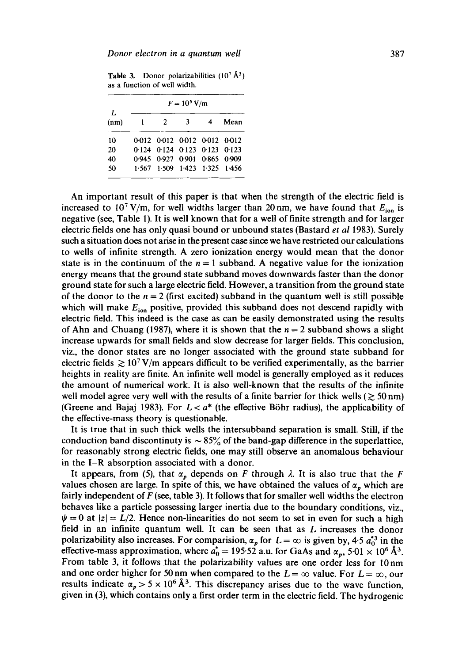**Table 3.** Donor polarizabilities  $(10^7 \text{ Å}^3)$ as a function of well width.

|            | $F = 10^5$ V/m |   |                               |  |      |  |  |
|------------|----------------|---|-------------------------------|--|------|--|--|
| I.<br>(nm) | $\blacksquare$ | 2 | $\overline{\mathbf{3}}$       |  | Mean |  |  |
| 10         |                |   | 0.012 0.012 0.012 0.012 0.012 |  |      |  |  |
| 20         |                |   | 0.124 0.124 0.123 0.123 0.123 |  |      |  |  |
| 40         |                |   | 0.945 0.927 0.901 0.865 0.909 |  |      |  |  |
| 50         |                |   | 1.567 1.509 1.423 1.325 1.456 |  |      |  |  |

An important result of this paper is that when the strength of the electric field is increased to 10<sup>7</sup> V/m, for well widths larger than 20 nm, we have found that  $E_{\text{ion}}$  is negative (see, Table 1). It is well known that for a well of finite strength and for larger electric fields one has only quasi bound or unbound states (Bastard *et al* 1983). Surely such a situation does not arise in the present case since we have restricted our calculations to wells of infinite strength. A zero ionization energy would mean that the donor state is in the continuum of the  $n = 1$  subband. A negative value for the ionization energy means that the ground state subband moves downwards faster than the donor ground state for such a large electric field. However, a transition from the ground state of the donor to the  $n = 2$  (first excited) subband in the quantum well is still possible which will make  $E_{\text{ion}}$  positive, provided this subband does not descend rapidly with electric field. This indeed is the case as can be easily demonstrated using the results of Ahn and Chuang (1987), where it is shown that the  $n = 2$  subband shows a slight increase upwards for small fields and slow decrease for larger fields. This conclusion, viz., the donor states are no longer associated with the ground state subband for electric fields  $\geq 10^7$  V/m appears difficult to be verified experimentally, as the barrier heights in reality are finite. An infinite well model is generally employed as it reduces the amount of numerical work. It is also well-known that the results of the infinite well model agree very well with the results of a finite barrier for thick wells ( $\gtrsim$  50 nm) (Greene and Bajaj 1983). For  $L < a^*$  (the effective Böhr radius), the applicability of the effective-mass theory is questionable.

It is true that in such thick wells the intersubband separation is small. Still, if the conduction band discontinuty is  $\sim 85\%$  of the band-gap difference in the superlattice, for reasonably strong electric fields, one may still observe an anomalous behaviour in the I-R absorption associated with a donor.

It appears, from (5), that  $\alpha_p$  depends on F through  $\lambda$ . It is also true that the F values chosen are large. In spite of this, we have obtained the values of  $\alpha_n$  which are fairly independent of F (see, table 3). It follows that for smaller well widths the electron behaves like a particle possessing larger inertia due to the boundary conditions, viz.,  $\psi = 0$  at  $|z| = L/2$ . Hence non-linearities do not seem to set in even for such a high field in an infinite quantum well. It can be seen that as  $L$  increases the donor polarizability also increases. For comparision,  $\alpha_p$  for  $L = \infty$  is given by, 4-5  $a_0^{*3}$  in the effective-mass approximation, where  $a_0^* = 195.52$  a.u. for GaAs and  $\alpha_p$ , 5.01  $\times$  10<sup>6</sup> Å<sup>3</sup>. From table 3, it follows that the polarizability values are one order less for 10nm and one order higher for 50 nm when compared to the  $L = \infty$  value. For  $L = \infty$ , our results indicate  $\alpha_p > 5 \times 10^6~\text{\AA}^3$ . This discrepancy arises due to the wave function, given in (3), which contains only a first order term in the electric field. The hydrogenic